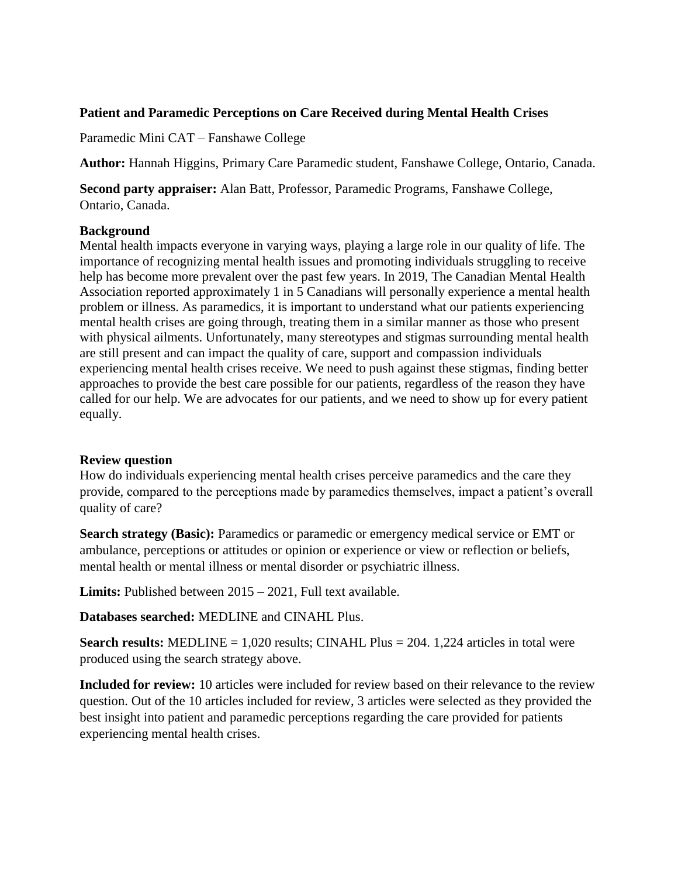### **Patient and Paramedic Perceptions on Care Received during Mental Health Crises**

Paramedic Mini CAT – Fanshawe College

**Author:** Hannah Higgins, Primary Care Paramedic student, Fanshawe College, Ontario, Canada.

**Second party appraiser:** Alan Batt, Professor, Paramedic Programs, Fanshawe College, Ontario, Canada.

#### **Background**

Mental health impacts everyone in varying ways, playing a large role in our quality of life. The importance of recognizing mental health issues and promoting individuals struggling to receive help has become more prevalent over the past few years. In 2019, The Canadian Mental Health Association reported approximately 1 in 5 Canadians will personally experience a mental health problem or illness. As paramedics, it is important to understand what our patients experiencing mental health crises are going through, treating them in a similar manner as those who present with physical ailments. Unfortunately, many stereotypes and stigmas surrounding mental health are still present and can impact the quality of care, support and compassion individuals experiencing mental health crises receive. We need to push against these stigmas, finding better approaches to provide the best care possible for our patients, regardless of the reason they have called for our help. We are advocates for our patients, and we need to show up for every patient equally.

### **Review question**

How do individuals experiencing mental health crises perceive paramedics and the care they provide, compared to the perceptions made by paramedics themselves, impact a patient's overall quality of care?

**Search strategy (Basic):** Paramedics or paramedic or emergency medical service or EMT or ambulance, perceptions or attitudes or opinion or experience or view or reflection or beliefs, mental health or mental illness or mental disorder or psychiatric illness.

**Limits:** Published between 2015 – 2021, Full text available.

**Databases searched:** MEDLINE and CINAHL Plus.

**Search results:** MEDLINE = 1,020 results; CINAHL Plus = 204. 1,224 articles in total were produced using the search strategy above.

**Included for review:** 10 articles were included for review based on their relevance to the review question. Out of the 10 articles included for review, 3 articles were selected as they provided the best insight into patient and paramedic perceptions regarding the care provided for patients experiencing mental health crises.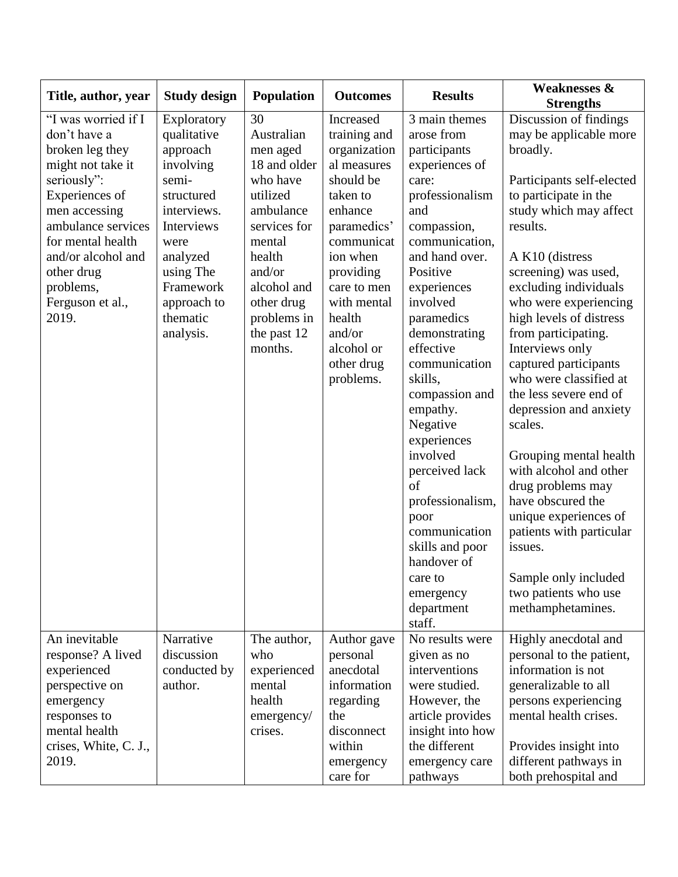| Title, author, year       | <b>Study design</b>     | Population                 | <b>Outcomes</b>  | <b>Results</b>              | <b>Weaknesses &amp;</b><br><b>Strengths</b>    |
|---------------------------|-------------------------|----------------------------|------------------|-----------------------------|------------------------------------------------|
| "I was worried if I       | Exploratory             | 30                         | Increased        | 3 main themes               | Discussion of findings                         |
| don't have a              | qualitative             | Australian                 | training and     | arose from                  | may be applicable more                         |
| broken leg they           | approach                | men aged                   | organization     | participants                | broadly.                                       |
| might not take it         | involving               | 18 and older               | al measures      | experiences of              |                                                |
| seriously":               | semi-                   | who have                   | should be        | care:                       | Participants self-elected                      |
| Experiences of            | structured              | utilized                   | taken to         | professionalism             | to participate in the                          |
| men accessing             | interviews.             | ambulance                  | enhance          | and                         | study which may affect                         |
| ambulance services        | Interviews              | services for               | paramedics'      | compassion,                 | results.                                       |
| for mental health         | were                    | mental                     | communicat       | communication,              |                                                |
| and/or alcohol and        | analyzed                | health                     | ion when         | and hand over.              | A K10 (distress                                |
| other drug                | using The               | and/or                     | providing        | Positive                    | screening) was used,                           |
| problems,                 | Framework               | alcohol and                | care to men      | experiences                 | excluding individuals                          |
| Ferguson et al.,<br>2019. | approach to<br>thematic | other drug                 | with mental      | involved                    | who were experiencing                          |
|                           |                         | problems in<br>the past 12 | health<br>and/or | paramedics<br>demonstrating | high levels of distress<br>from participating. |
|                           | analysis.               | months.                    | alcohol or       | effective                   | Interviews only                                |
|                           |                         |                            | other drug       | communication               | captured participants                          |
|                           |                         |                            | problems.        | skills,                     | who were classified at                         |
|                           |                         |                            |                  | compassion and              | the less severe end of                         |
|                           |                         |                            |                  | empathy.                    | depression and anxiety                         |
|                           |                         |                            |                  | Negative                    | scales.                                        |
|                           |                         |                            |                  | experiences                 |                                                |
|                           |                         |                            |                  | involved                    | Grouping mental health                         |
|                           |                         |                            |                  | perceived lack              | with alcohol and other                         |
|                           |                         |                            |                  | of                          | drug problems may                              |
|                           |                         |                            |                  | professionalism,            | have obscured the                              |
|                           |                         |                            |                  | poor                        | unique experiences of                          |
|                           |                         |                            |                  | communication               | patients with particular                       |
|                           |                         |                            |                  | skills and poor             | issues.                                        |
|                           |                         |                            |                  | handover of                 |                                                |
|                           |                         |                            |                  | care to                     | Sample only included                           |
|                           |                         |                            |                  | emergency                   | two patients who use                           |
|                           |                         |                            |                  | department<br>staff.        | methamphetamines.                              |
| An inevitable             | Narrative               | The author,                | Author gave      | No results were             | Highly anecdotal and                           |
| response? A lived         | discussion              | who                        | personal         | given as no                 | personal to the patient,                       |
| experienced               | conducted by            | experienced                | anecdotal        | interventions               | information is not                             |
| perspective on            | author.                 | mental                     | information      | were studied.               | generalizable to all                           |
| emergency                 |                         | health                     | regarding        | However, the                | persons experiencing                           |
| responses to              |                         | emergency/                 | the              | article provides            | mental health crises.                          |
| mental health             |                         | crises.                    | disconnect       | insight into how            |                                                |
| crises, White, C. J.,     |                         |                            | within           | the different               | Provides insight into                          |
| 2019.                     |                         |                            | emergency        | emergency care              | different pathways in                          |
|                           |                         |                            | care for         | pathways                    | both prehospital and                           |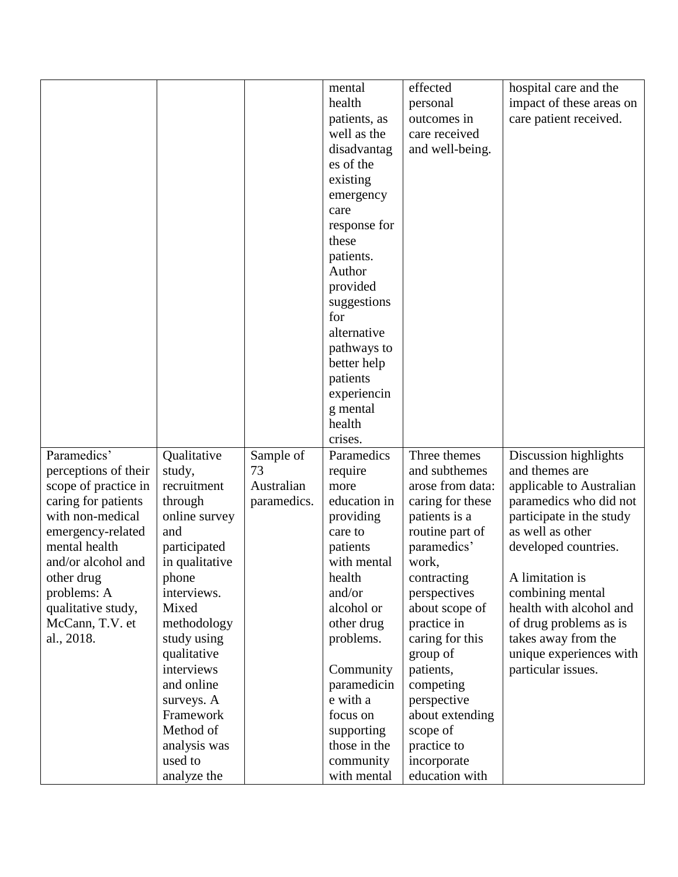|                      |                |             | mental       | effected         | hospital care and the    |
|----------------------|----------------|-------------|--------------|------------------|--------------------------|
|                      |                |             | health       | personal         | impact of these areas on |
|                      |                |             | patients, as | outcomes in      | care patient received.   |
|                      |                |             | well as the  | care received    |                          |
|                      |                |             | disadvantag  | and well-being.  |                          |
|                      |                |             | es of the    |                  |                          |
|                      |                |             | existing     |                  |                          |
|                      |                |             | emergency    |                  |                          |
|                      |                |             | care         |                  |                          |
|                      |                |             | response for |                  |                          |
|                      |                |             | these        |                  |                          |
|                      |                |             | patients.    |                  |                          |
|                      |                |             | Author       |                  |                          |
|                      |                |             | provided     |                  |                          |
|                      |                |             | suggestions  |                  |                          |
|                      |                |             | for          |                  |                          |
|                      |                |             | alternative  |                  |                          |
|                      |                |             | pathways to  |                  |                          |
|                      |                |             | better help  |                  |                          |
|                      |                |             | patients     |                  |                          |
|                      |                |             | experiencin  |                  |                          |
|                      |                |             | g mental     |                  |                          |
|                      |                |             | health       |                  |                          |
|                      |                |             | crises.      |                  |                          |
| Paramedics'          | Qualitative    | Sample of   | Paramedics   | Three themes     | Discussion highlights    |
| perceptions of their | study,         | 73          | require      | and subthemes    | and themes are           |
| scope of practice in | recruitment    | Australian  | more         | arose from data: | applicable to Australian |
| caring for patients  | through        | paramedics. | education in | caring for these | paramedics who did not   |
| with non-medical     | online survey  |             | providing    | patients is a    | participate in the study |
| emergency-related    | and            |             | care to      | routine part of  | as well as other         |
| mental health        | participated   |             | patients     | paramedics'      | developed countries.     |
| and/or alcohol and   | in qualitative |             | with mental  | work,            |                          |
| other drug           | phone          |             | health       | contracting      | A limitation is          |
| problems: A          | interviews.    |             | and/or       | perspectives     | combining mental         |
| qualitative study,   | Mixed          |             | alcohol or   | about scope of   | health with alcohol and  |
| McCann, T.V. et      | methodology    |             | other drug   | practice in      | of drug problems as is   |
| al., 2018.           | study using    |             | problems.    | caring for this  | takes away from the      |
|                      | qualitative    |             |              | group of         | unique experiences with  |
|                      | interviews     |             | Community    | patients,        | particular issues.       |
|                      | and online     |             | paramedicin  | competing        |                          |
|                      | surveys. A     |             | e with a     | perspective      |                          |
|                      | Framework      |             | focus on     | about extending  |                          |
|                      | Method of      |             | supporting   | scope of         |                          |
|                      | analysis was   |             | those in the | practice to      |                          |
|                      | used to        |             | community    | incorporate      |                          |
|                      | analyze the    |             | with mental  | education with   |                          |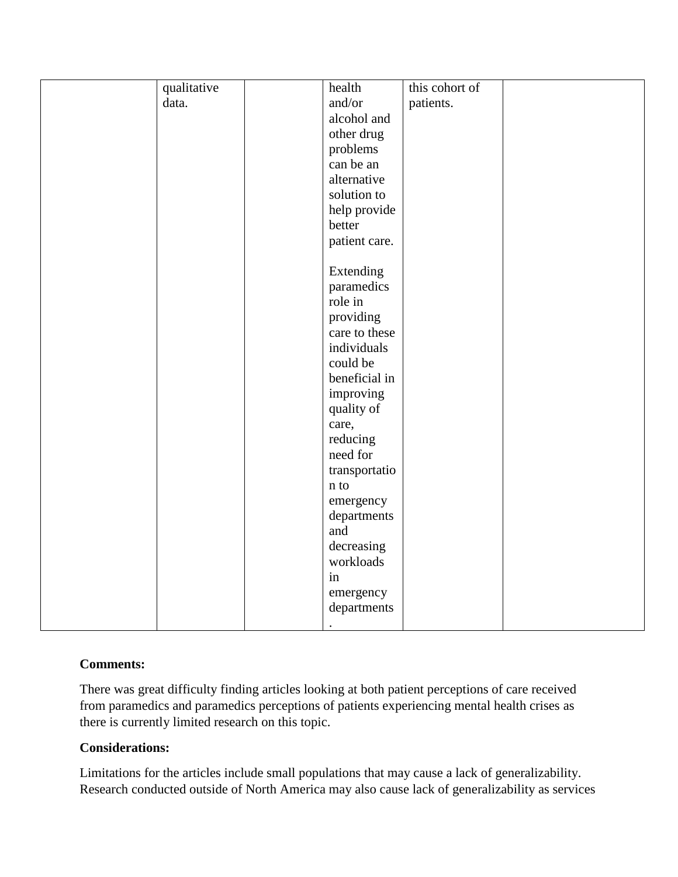| qualitative | health         | this cohort of |  |
|-------------|----------------|----------------|--|
| data.       | and/or         | patients.      |  |
|             | alcohol and    |                |  |
|             | other drug     |                |  |
|             | problems       |                |  |
|             | can be an      |                |  |
|             | alternative    |                |  |
|             | solution to    |                |  |
|             | help provide   |                |  |
|             | better         |                |  |
|             | patient care.  |                |  |
|             |                |                |  |
|             | Extending      |                |  |
|             | paramedics     |                |  |
|             | role in        |                |  |
|             | providing      |                |  |
|             | care to these  |                |  |
|             | individuals    |                |  |
|             | could be       |                |  |
|             | beneficial in  |                |  |
|             | improving      |                |  |
|             | quality of     |                |  |
|             | care,          |                |  |
|             | reducing       |                |  |
|             | need for       |                |  |
|             | transportatio  |                |  |
|             | $\mathbf n$ to |                |  |
|             | emergency      |                |  |
|             | departments    |                |  |
|             | and            |                |  |
|             | decreasing     |                |  |
|             | workloads      |                |  |
|             | in             |                |  |
|             | emergency      |                |  |
|             | departments    |                |  |
|             | $\bullet$      |                |  |
|             |                |                |  |

# **Comments:**

There was great difficulty finding articles looking at both patient perceptions of care received from paramedics and paramedics perceptions of patients experiencing mental health crises as there is currently limited research on this topic.

### **Considerations:**

Limitations for the articles include small populations that may cause a lack of generalizability. Research conducted outside of North America may also cause lack of generalizability as services